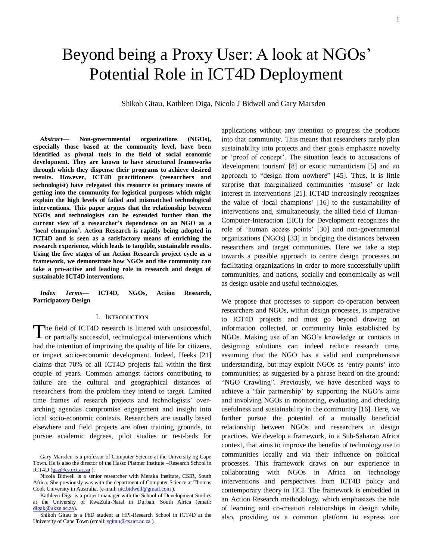# Beyond being a Proxy User: A look at NGOs' Potential Role in ICT4D Deployment

Shikoh Gitau, Kathleen Diga, Nicola J Bidwell and Gary Marsden

*Abstract***— Non-governmental organizations (NGOs), especially those based at the community level, have been identified as pivotal tools in the field of social economic development. They are known to have structured frameworks through which they dispense their programs to achieve desired results. However, ICT4D practitioners (researchers and technologist) have relegated this resource to primary means of getting into the community for logistical purposes which might explain the high levels of failed and mismatched technological interventions. This paper argues that the relationship between NGOs and technologists can be extended further than the current view of a researcher's dependence on an NGO as a 'local champion'. Action Research is rapidly being adopted in ICT4D and is seen as a satisfactory means of enriching the research experience, which leads to tangible, sustainable results. Using the five stages of an Action Research project cycle as a framework, we demonstrate how NGOs and the community can take a pro-active and leading role in research and design of sustainable ICT4D interventions.**

*Index Terms***— ICT4D, NGOs, Action Research, Participatory Design**

#### I. INTRODUCTION

he field of ICT4D research is littered with unsuccessful, or partially successful, technological interventions which had the intention of improving the quality of life for citizens, or impact socio-economic development. Indeed, Heeks [21] claims that 70% of all ICT4D projects fail within the first couple of years. Common amongst factors contributing to failure are the cultural and geographical distances of researchers from the problem they intend to target. Limited time frames of research projects and technologists' overarching agendas compromise engagement and insight into local socio-economic contexts. Researchers are usually based elsewhere and field projects are often training grounds, to pursue academic degrees, pilot studies or test-beds for T

applications without any intention to progress the products into that community. This means that researchers rarely plan sustainability into projects and their goals emphasize novelty or ‗proof of concept'. The situation leads to accusations of 'development tourism' [8] or exotic romanticism [5] and an approach to "design from nowhere" [45]. Thus, it is little surprise that marginalized communities 'misuse' or lack interest in interventions [21]. ICT4D increasingly recognizes the value of 'local champions' [16] to the sustainability of interventions and, simultaneously, the allied field of Human-Computer-Interaction (HCI) for Development recognizes the role of ‗human access points' [30] and non-governmental organizations (NGOs) [33] in bridging the distances between researchers and target communities. Here we take a step towards a possible approach to centre design processes on facilitating organizations in order to more successfully uplift communities, and nations, socially and economically as well as design usable and useful technologies.

We propose that processes to support co-operation between researchers and NGOs, within design processes, is imperative to ICT4D projects and must go beyond drawing on information collected, or community links established by NGOs. Making use of an NGO's knowledge or contacts in designing solutions can indeed reduce research time, assuming that the NGO has a valid and comprehensive understanding, but may exploit NGOs as ‗entry points' into communities; as suggested by a phrase heard on the ground: "NGO Crawling". Previously, we have described ways to achieve a 'fair partnership' by supporting the NGO's aims and involving NGOs in monitoring, evaluating and checking usefulness and sustainability in the community [16]. Here, we further pursue the potential of a mutually beneficial relationship between NGOs and researchers in design practices. We develop a framework, in a Sub-Saharan Africa context, that aims to improve the benefits of technology use to communities locally and via their influence on political processes. This framework draws on our experience in collaborating with NGOs in Africa on technology interventions and perspectives from ICT4D policy and contemporary theory in HCI. The framework is embedded in an Action Research methodology, which emphasizes the role of learning and co-creation relationships in design while, also, providing us a common platform to express our

Gary Marsden is a professor of Computer Science at the University og Cape Town. He is also the director of the Hasso Plattner Institute –Research School in ICT4D [\(gaz@cs.uct.ac.za](mailto:gaz@cs.uct.ac.za)).

Nicola Bidwell is a senior researcher with Meraka Institute, CSIR, South Africa. She previously was with the department of Computer Science at Thomas Cook University in Australia. (e-mail[: nic.bidwell@gmail.com](mailto:nic.bidwell@gmail.com) ).

Kathleen Diga is a project manager with the School of Development Studies at the University of KwaZulu-Natal in Durban, South Africa (email: [digak@ukzn.ac.za\)](mailto:digak@ukzn.ac.za).

Shikoh Gitau is a PhD student at HPI-Research School in ICT4D at the University of Cape Town (email[: sgitau@cs.uct.ac.za](mailto:sgitau@cs.uct.ac.za))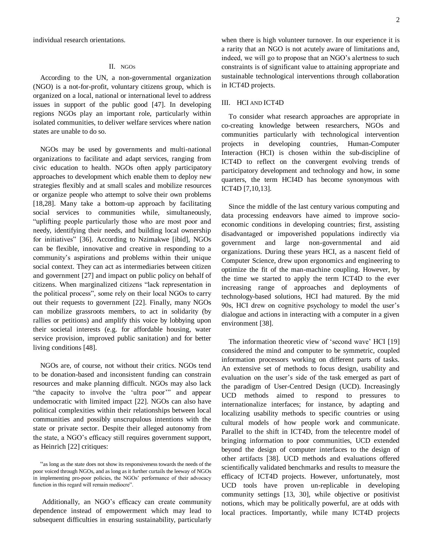individual research orientations.

## II. NGO<sup>S</sup>

According to the UN, a non-governmental organization (NGO) is a not-for-profit, voluntary citizens group, which is organized on a local, national or international level to address issues in support of the public good [47]. In developing regions NGOs play an important role, particularly within isolated communities, to deliver welfare services where nation states are unable to do so.

NGOs may be used by governments and multi-national organizations to facilitate and adapt services, ranging from civic education to health. NGOs often apply participatory approaches to development which enable them to deploy new strategies flexibly and at small scales and mobilize resources or organize people who attempt to solve their own problems [18,28]. Many take a bottom-up approach by facilitating social services to communities while, simultaneously, "uplifting people particularly those who are most poor and needy, identifying their needs, and building local ownership for initiatives" [36]. According to Nzimakwe [ibid], NGOs can be flexible, innovative and creative in responding to a community's aspirations and problems within their unique social context. They can act as intermediaries between citizen and government [27] and impact on public policy on behalf of citizens. When marginalized citizens "lack representation in the political process", some rely on their local NGOs to carry out their requests to government [22]. Finally, many NGOs can mobilize grassroots members, to act in solidarity (by rallies or petitions) and amplify this voice by lobbying upon their societal interests (e.g. for affordable housing, water service provision, improved public sanitation) and for better living conditions [48].

NGOs are, of course, not without their critics. NGOs tend to be donation-based and inconsistent funding can constrain resources and make planning difficult. NGOs may also lack "the capacity to involve the 'ultra poor" and appear undemocratic with limited impact [22]. NGOs can also have political complexities within their relationships between local communities and possibly unscrupulous intentions with the state or private sector. Despite their alleged autonomy from the state, a NGO's efficacy still requires government support, as Heinrich [22] critiques:

Additionally, an NGO's efficacy can create community dependence instead of empowerment which may lead to subsequent difficulties in ensuring sustainability, particularly when there is high volunteer turnover. In our experience it is a rarity that an NGO is not acutely aware of limitations and, indeed, we will go to propose that an NGO's alertness to such constraints is of significant value to attaining appropriate and sustainable technological interventions through collaboration in ICT4D projects.

#### III. HCI AND ICT4D

To consider what research approaches are appropriate in co-creating knowledge between researchers, NGOs and communities particularly with technological intervention projects in developing countries, Human-Computer Interaction (HCI) is chosen within the sub-discipline of ICT4D to reflect on the convergent evolving trends of participatory development and technology and how, in some quarters, the term HCI4D has become synonymous with ICT4D [7,10,13].

Since the middle of the last century various computing and data processing endeavors have aimed to improve socioeconomic conditions in developing countries; first, assisting disadvantaged or impoverished populations indirectly via government and large non-governmental and aid organizations. During these years HCI, as a nascent field of Computer Science, drew upon ergonomics and engineering to optimize the fit of the man-machine coupling. However, by the time we started to apply the term ICT4D to the ever increasing range of approaches and deployments of technology-based solutions, HCI had matured. By the mid 90s, HCI drew on cognitive psychology to model the user's dialogue and actions in interacting with a computer in a given environment [38].

The information theoretic view of 'second wave' HCI [19] considered the mind and computer to be symmetric, coupled information processors working on different parts of tasks. An extensive set of methods to focus design, usability and evaluation on the user's side of the task emerged as part of the paradigm of User-Centred Design (UCD). Increasingly UCD methods aimed to respond to pressures to internationalize interfaces; for instance, by adapting and localizing usability methods to specific countries or using cultural models of how people work and communicate. Parallel to the shift in ICT4D, from the telecentre model of bringing information to poor communities, UCD extended beyond the design of computer interfaces to the design of other artifacts [38]. UCD methods and evaluations offered scientifically validated benchmarks and results to measure the efficacy of ICT4D projects. However, unfortunately, most UCD tools have proven un-replicable in developing community settings [13, 30], while objective or positivist notions, which may be politically powerful, are at odds with local practices. Importantly, while many ICT4D projects

<sup>&</sup>quot;as long as the state does not show its responsiveness towards the needs of the poor voiced through NGOs, and as long as it further curtails the leeway of NGOs in implementing pro-poor policies, the NGOs' performance of their advocacy function in this regard will remain mediocre".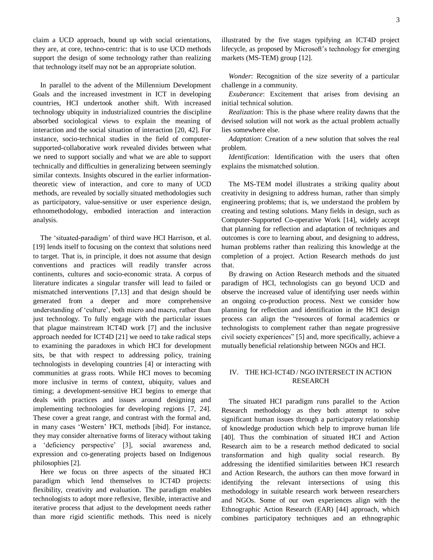claim a UCD approach, bound up with social orientations, they are, at core, techno-centric: that is to use UCD methods support the design of some technology rather than realizing that technology itself may not be an appropriate solution.

In parallel to the advent of the Millennium Development Goals and the increased investment in ICT in developing countries, HCI undertook another shift. With increased technology ubiquity in industrialized countries the discipline absorbed sociological views to explain the meaning of interaction and the social situation of interaction [20, 42]. For instance, socio-technical studies in the field of computersupported-collaborative work revealed divides between what we need to support socially and what we are able to support technically and difficulties in generalizing between seemingly similar contexts. Insights obscured in the earlier informationtheoretic view of interaction, and core to many of UCD methods, are revealed by socially situated methodologies such as participatory, value-sensitive or user experience design, ethnomethodology, embodied interaction and interaction analysis.

The 'situated-paradigm' of third wave HCI Harrison, et al. [19] lends itself to focusing on the context that solutions need to target. That is, in principle, it does not assume that design conventions and practices will readily transfer across continents, cultures and socio-economic strata. A corpus of literature indicates a singular transfer will lead to failed or mismatched interventions [7,13] and that design should be generated from a deeper and more comprehensive understanding of 'culture', both micro and macro, rather than just technology. To fully engage with the particular issues that plague mainstream ICT4D work [7] and the inclusive approach needed for ICT4D [21] we need to take radical steps to examining the paradoxes in which HCI for development sits, be that with respect to addressing policy, training technologists in developing countries [4] or interacting with communities at grass roots. While HCI moves to becoming more inclusive in terms of context, ubiquity, values and timing; a development-sensitive HCI begins to emerge that deals with practices and issues around designing and implementing technologies for developing regions [7, 24]. These cover a great range, and contrast with the formal and, in many cases ‗Western' HCI, methods [ibid]. For instance, they may consider alternative forms of literacy without taking a ‗deficiency perspective' [3], social awareness and, expression and co-generating projects based on Indigenous philosophies [2].

Here we focus on three aspects of the situated HCI paradigm which lend themselves to ICT4D projects: flexibility, creativity and evaluation. The paradigm enables technologists to adopt more reflexive, flexible, interactive and iterative process that adjust to the development needs rather than more rigid scientific methods. This need is nicely illustrated by the five stages typifying an ICT4D project lifecycle, as proposed by Microsoft's technology for emerging markets (MS-TEM) group [12].

*Wonder*: Recognition of the size severity of a particular challenge in a community.

*Exuberance*: Excitement that arises from devising an initial technical solution.

*Realization*: This is the phase where reality dawns that the devised solution will not work as the actual problem actually lies somewhere else.

*Adaptation*: Creation of a new solution that solves the real problem.

*Identification*: Identification with the users that often explains the mismatched solution.

The MS-TEM model illustrates a striking quality about creativity in designing to address human, rather than simply engineering problems; that is, we understand the problem by creating and testing solutions. Many fields in design, such as Computer-Supported Co-operative Work [14], widely accept that planning for reflection and adaptation of techniques and outcomes is core to learning about, and designing to address, human problems rather than realizing this knowledge at the completion of a project. Action Research methods do just that.

By drawing on Action Research methods and the situated paradigm of HCI, technologists can go beyond UCD and observe the increased value of identifying user needs within an ongoing co-production process. Next we consider how planning for reflection and identification in the HCI design process can align the "resources of formal academics or technologists to complement rather than negate progressive civil society experiences" [5] and, more specifically, achieve a mutually beneficial relationship between NGOs and HCI.

# IV. THE HCI-ICT4D / NGO INTERSECT IN ACTION RESEARCH

The situated HCI paradigm runs parallel to the Action Research methodology as they both attempt to solve significant human issues through a participatory relationship of knowledge production which help to improve human life [40]. Thus the combination of situated HCI and Action Research aim to be a research method dedicated to social transformation and high quality social research. By addressing the identified similarities between HCI research and Action Research, the authors can then move forward in identifying the relevant intersections of using this methodology in suitable research work between researchers and NGOs. Some of our own experiences align with the Ethnographic Action Research (EAR) [44] approach, which combines participatory techniques and an ethnographic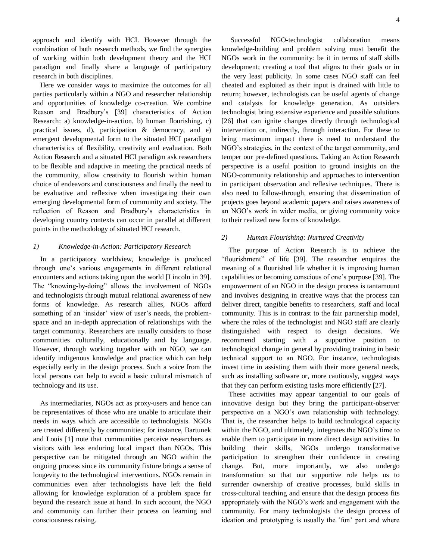approach and identify with HCI. However through the combination of both research methods, we find the synergies of working within both development theory and the HCI paradigm and finally share a language of participatory research in both disciplines.

Here we consider ways to maximize the outcomes for all parties particularly within a NGO and researcher relationship and opportunities of knowledge co-creation. We combine Reason and Bradbury's [39] characteristics of Action Research: a) knowledge-in-action, b) human flourishing, c) practical issues, d), participation & democracy, and e) emergent developmental form to the situated HCI paradigm characteristics of flexibility, creativity and evaluation. Both Action Research and a situated HCI paradigm ask researchers to be flexible and adaptive in meeting the practical needs of the community, allow creativity to flourish within human choice of endeavors and consciousness and finally the need to be evaluative and reflexive when investigating their own emerging developmental form of community and society. The reflection of Reason and Bradbury's characteristics in developing country contexts can occur in parallel at different points in the methodology of situated HCI research.

## *1) Knowledge-in-Action: Participatory Research*

In a participatory worldview, knowledge is produced through one's various engagements in different relational encounters and actions taking upon the world [Lincoln in 39]. The "knowing-by-doing" allows the involvement of NGOs and technologists through mutual relational awareness of new forms of knowledge. As research allies, NGOs afford something of an 'insider' view of user's needs, the problemspace and an in-depth appreciation of relationships with the target community. Researchers are usually outsiders to those communities culturally, educationally and by language. However, through working together with an NGO, we can identify indigenous knowledge and practice which can help especially early in the design process. Such a voice from the local persons can help to avoid a basic cultural mismatch of technology and its use.

As intermediaries, NGOs act as proxy-users and hence can be representatives of those who are unable to articulate their needs in ways which are accessible to technologists. NGOs are treated differently by communities; for instance, Bartunek and Louis [1] note that communities perceive researchers as visitors with less enduring local impact than NGOs. This perspective can be mitigated through an NGO within the ongoing process since its community fixture brings a sense of longevity to the technological interventions. NGOs remain in communities even after technologists have left the field allowing for knowledge exploration of a problem space far beyond the research issue at hand. In such account, the NGO and community can further their process on learning and consciousness raising.

Successful NGO-technologist collaboration means knowledge-building and problem solving must benefit the NGOs work in the community: be it in terms of staff skills development; creating a tool that aligns to their goals or in the very least publicity. In some cases NGO staff can feel cheated and exploited as their input is drained with little to return; however, technologists can be useful agents of change and catalysts for knowledge generation. As outsiders technologist bring extensive experience and possible solutions [26] that can ignite changes directly through technological intervention or, indirectly, through interaction. For these to bring maximum impact there is need to understand the NGO's strategies, in the context of the target community, and temper our pre-defined questions. Taking an Action Research perspective is a useful position to ground insights on the NGO-community relationship and approaches to intervention in participant observation and reflexive techniques. There is also need to follow-through, ensuring that dissemination of projects goes beyond academic papers and raises awareness of an NGO's work in wider media, or giving community voice to their realized new forms of knowledge.

# *2) Human Flourishing: Nurtured Creativity*

The purpose of Action Research is to achieve the ―flourishment‖ of life [39]. The researcher enquires the meaning of a flourished life whether it is improving human capabilities or becoming conscious of one's purpose [39]. The empowerment of an NGO in the design process is tantamount and involves designing in creative ways that the process can deliver direct, tangible benefits to researchers, staff and local community. This is in contrast to the fair partnership model, where the roles of the technologist and NGO staff are clearly distinguished with respect to design decisions. We recommend starting with a supportive position to technological change in general by providing training in basic technical support to an NGO. For instance, technologists invest time in assisting them with their more general needs, such as installing software or, more cautiously, suggest ways that they can perform existing tasks more efficiently [27].

These activities may appear tangential to our goals of innovative design but they bring the participant-observer perspective on a NGO's own relationship with technology. That is, the researcher helps to build technological capacity within the NGO, and ultimately, integrates the NGO's time to enable them to participate in more direct design activities. In building their skills, NGOs undergo transformative participation to strengthen their confidence in creating change. But, more importantly, we also undergo transformation so that our supportive role helps us to surrender ownership of creative processes, build skills in cross-cultural teaching and ensure that the design process fits appropriately with the NGO's work and engagement with the community. For many technologists the design process of ideation and prototyping is usually the 'fun' part and where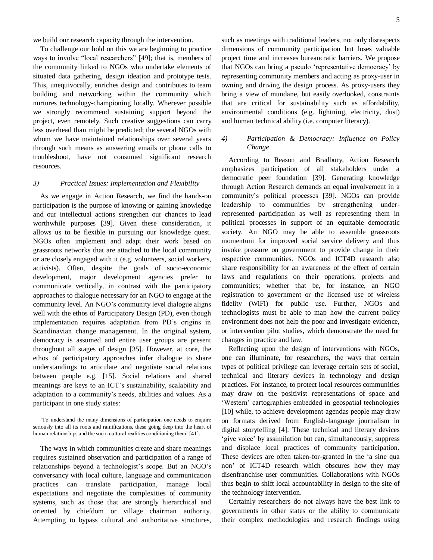we build our research capacity through the intervention.

To challenge our hold on this we are beginning to practice ways to involve "local researchers" [49]; that is, members of the community linked to NGOs who undertake elements of situated data gathering, design ideation and prototype tests. This, unequivocally, enriches design and contributes to team building and networking within the community which nurtures technology-championing locally. Wherever possible we strongly recommend sustaining support beyond the project, even remotely. Such creative suggestions can carry less overhead than might be predicted; the several NGOs with whom we have maintained relationships over several years through such means as answering emails or phone calls to troubleshoot, have not consumed significant research resources.

#### *3) Practical Issues: Implementation and Flexibility*

As we engage in Action Research, we find the hands-on participation is the purpose of knowing or gaining knowledge and our intellectual actions strengthen our chances to lead worthwhile purposes [39]. Given these consideration, it allows us to be flexible in pursuing our knowledge quest. NGOs often implement and adapt their work based on grassroots networks that are attached to the local community or are closely engaged with it (e.g. volunteers, social workers, activists). Often, despite the goals of socio-economic development, major development agencies prefer to communicate vertically, in contrast with the participatory approaches to dialogue necessary for an NGO to engage at the community level. An NGO's community level dialogue aligns well with the ethos of Participatory Design (PD), even though implementation requires adaptation from PD's origins in Scandinavian change management. In the original system, democracy is assumed and entire user groups are present throughout all stages of design [35]. However, at core, the ethos of participatory approaches infer dialogue to share understandings to articulate and negotiate social relations between people e.g. [15]. Social relations and shared meanings are keys to an ICT's sustainability, scalability and adaptation to a community's needs, abilities and values. As a participant in one study states:

The ways in which communities create and share meanings requires sustained observation and participation of a range of relationships beyond a technologist's scope. But an NGO's conversancy with local culture, language and communication practices can translate participation, manage local expectations and negotiate the complexities of community systems, such as those that are strongly hierarchical and oriented by chiefdom or village chairman authority. Attempting to bypass cultural and authoritative structures,

such as meetings with traditional leaders, not only disrespects dimensions of community participation but loses valuable project time and increases bureaucratic barriers. We propose that NGOs can bring a pseudo ‗representative democracy' by representing community members and acting as proxy-user in owning and driving the design process. As proxy-users they bring a view of mundane, but easily overlooked, constraints that are critical for sustainability such as affordability, environmental conditions (e.g. lightning, electricity, dust) and human technical ability (i.e. computer literacy).

# *4) Participation & Democracy: Influence on Policy Change*

According to Reason and Bradbury, Action Research emphasizes participation of all stakeholders under a democratic peer foundation [39]. Generating knowledge through Action Research demands an equal involvement in a community's political processes [39]. NGOs can provide leadership to communities by strengthening underrepresented participation as well as representing them in political processes in support of an equitable democratic society. An NGO may be able to assemble grassroots momentum for improved social service delivery and thus invoke pressure on government to provide change in their respective communities. NGOs and ICT4D research also share responsibility for an awareness of the effect of certain laws and regulations on their operations, projects and communities; whether that be, for instance, an NGO registration to government or the licensed use of wireless fidelity (WiFi) for public use. Further, NGOs and technologists must be able to map how the current policy environment does not help the poor and investigate evidence, or intervention pilot studies, which demonstrate the need for changes in practice and law.

Reflecting upon the design of interventions with NGOs, one can illuminate, for researchers, the ways that certain types of political privilege can leverage certain sets of social, technical and literary devices in technology and design practices. For instance, to protect local resources communities may draw on the positivist representations of space and ‗Western' cartographies embedded in geospatial technologies [10] while, to achieve development agendas people may draw on formats derived from English-language journalism in digital storytelling [4]. These technical and literary devices ‗give voice' by assimilation but can, simultaneously, suppress and displace local practices of community participation. These devices are often taken-for-granted in the 'a sine qua non' of ICT4D research which obscures how they may disenfranchise user communities. Collaborations with NGOs thus begin to shift local accountability in design to the site of the technology intervention.

Certainly researchers do not always have the best link to governments in other states or the ability to communicate their complex methodologies and research findings using

<sup>‗</sup>To understand the many dimensions of participation one needs to enquire seriously into all its roots and ramifications, these going deep into the heart of human relationships and the socio-cultural realities conditioning them' [41].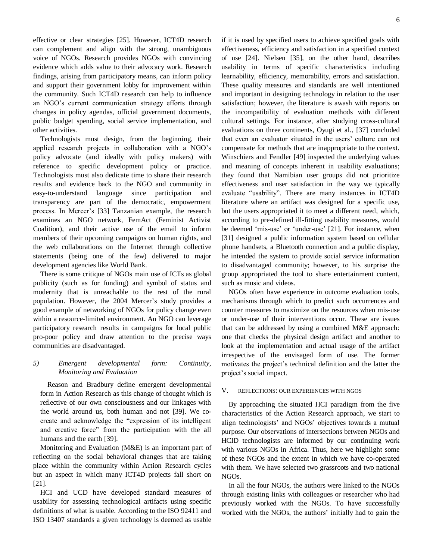effective or clear strategies [25]. However, ICT4D research can complement and align with the strong, unambiguous voice of NGOs. Research provides NGOs with convincing evidence which adds value to their advocacy work. Research findings, arising from participatory means, can inform policy and support their government lobby for improvement within the community. Such ICT4D research can help to influence an NGO's current communication strategy efforts through changes in policy agendas, official government documents, public budget spending, social service implementation, and other activities.

Technologists must design, from the beginning, their applied research projects in collaboration with a NGO's policy advocate (and ideally with policy makers) with reference to specific development policy or practice. Technologists must also dedicate time to share their research results and evidence back to the NGO and community in easy-to-understand language since participation and transparency are part of the democratic, empowerment process. In Mercer's [33] Tanzanian example, the research examines an NGO network, FemAct (Feminist Activist Coalition), and their active use of the email to inform members of their upcoming campaigns on human rights, and the web collaborations on the Internet through collective statements (being one of the few) delivered to major development agencies like World Bank.

There is some critique of NGOs main use of ICTs as global publicity (such as for funding) and symbol of status and modernity that is unreachable to the rest of the rural population. However, the 2004 Mercer's study provides a good example of networking of NGOs for policy change even within a resource-limited environment. An NGO can leverage participatory research results in campaigns for local public pro-poor policy and draw attention to the precise ways communities are disadvantaged.

#### *5) Emergent developmental form: Continuity, Monitoring and Evaluation*

Reason and Bradbury define emergent developmental form in Action Research as this change of thought which is reflective of our own consciousness and our linkages with the world around us, both human and not [39]. We cocreate and acknowledge the "expression of its intelligent and creative force" from the participation with the all humans and the earth [39].

Monitoring and Evaluation (M&E) is an important part of reflecting on the social behavioral changes that are taking place within the community within Action Research cycles but an aspect in which many ICT4D projects fall short on [21].

HCI and UCD have developed standard measures of usability for assessing technological artifacts using specific definitions of what is usable. According to the ISO 92411 and ISO 13407 standards a given technology is deemed as usable if it is used by specified users to achieve specified goals with effectiveness, efficiency and satisfaction in a specified context of use [24]. Nielsen [35], on the other hand, describes usability in terms of specific characteristics including learnability, efficiency, memorability, errors and satisfaction. These quality measures and standards are well intentioned and important in designing technology in relation to the user satisfaction; however, the literature is awash with reports on the incompatibility of evaluation methods with different cultural settings. For instance, after studying cross-cultural evaluations on three continents, Oyugi et al., [37] concluded that even an evaluator situated in the users' culture can not compensate for methods that are inappropriate to the context. Winschiers and Fendler [49] inspected the underlying values and meaning of concepts inherent in usability evaluations; they found that Namibian user groups did not prioritize effectiveness and user satisfaction in the way we typically evaluate "usability". There are many instances in ICT4D literature where an artifact was designed for a specific use, but the users appropriated it to meet a different need, which, according to pre-defined ill-fitting usability measures, would be deemed 'mis-use' or 'under-use' [21]. For instance, when [31] designed a public information system based on cellular phone handsets, a Bluetooth connection and a public display, he intended the system to provide social service information to disadvantaged community; however, to his surprise the group appropriated the tool to share entertainment content, such as music and videos.

NGOs often have experience in outcome evaluation tools, mechanisms through which to predict such occurrences and counter measures to maximize on the resources when mis-use or under-use of their interventions occur. These are issues that can be addressed by using a combined M&E approach: one that checks the physical design artifact and another to look at the implementation and actual usage of the artifact irrespective of the envisaged form of use. The former motivates the project's technical definition and the latter the project's social impact.

#### V. REFLECTIONS: OUR EXPERIENCES WITH NGOS

By approaching the situated HCI paradigm from the five characteristics of the Action Research approach, we start to align technologists' and NGOs' objectives towards a mutual purpose. Our observations of intersections between NGOs and HCID technologists are informed by our continuing work with various NGOs in Africa. Thus, here we highlight some of these NGOs and the extent in which we have co-operated with them. We have selected two grassroots and two national NGOs.

In all the four NGOs, the authors were linked to the NGOs through existing links with colleagues or researcher who had previously worked with the NGOs. To have successfully worked with the NGOs, the authors' initially had to gain the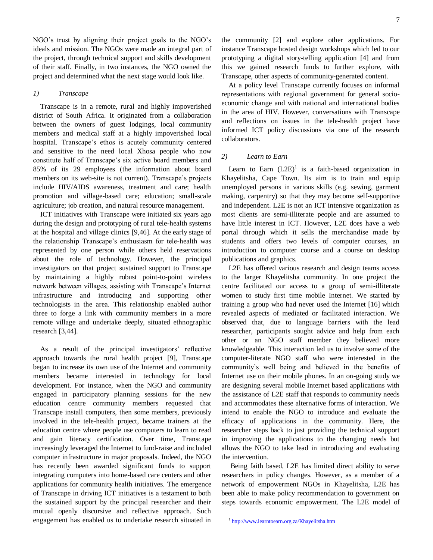NGO's trust by aligning their project goals to the NGO's ideals and mission. The NGOs were made an integral part of the project, through technical support and skills development of their staff. Finally, in two instances, the NGO owned the project and determined what the next stage would look like.

## *1) Transcape*

Transcape is in a remote, rural and highly impoverished district of South Africa. It originated from a collaboration between the owners of guest lodgings, local community members and medical staff at a highly impoverished local hospital. Transcape's ethos is acutely community centered and sensitive to the need local Xhosa people who now constitute half of Transcape's six active board members and 85% of its 29 employees (the information about board members on its web-site is not current). Transcape's projects include HIV/AIDS awareness, treatment and care; health promotion and village-based care; education; small-scale agriculture; job creation, and natural resource management.

ICT initiatives with Transcape were initiated six years ago during the design and prototyping of rural tele-health systems at the hospital and village clinics [9,46]. At the early stage of the relationship Transcape's enthusiasm for tele-health was represented by one person while others held reservations about the role of technology. However, the principal investigators on that project sustained support to Transcape by maintaining a highly robust point-to-point wireless network between villages, assisting with Transcape's Internet infrastructure and introducing and supporting other technologists in the area. This relationship enabled author three to forge a link with community members in a more remote village and undertake deeply, situated ethnographic research [3,44].

As a result of the principal investigators' reflective approach towards the rural health project [9], Transcape began to increase its own use of the Internet and community members became interested in technology for local development. For instance, when the NGO and community engaged in participatory planning sessions for the new education centre community members requested that Transcape install computers, then some members, previously involved in the tele-health project, became trainers at the education centre where people use computers to learn to read and gain literacy certification. Over time, Transcape increasingly leveraged the Internet to fund-raise and included computer infrastructure in major proposals. Indeed, the NGO has recently been awarded significant funds to support integrating computers into home-based care centers and other applications for community health initiatives. The emergence of Transcape in driving ICT initiatives is a testament to both the sustained support by the principal researcher and their mutual openly discursive and reflective approach. Such engagement has enabled us to undertake research situated in the community [2] and explore other applications. For instance Transcape hosted design workshops which led to our prototyping a digital story-telling application [4] and from this we gained research funds to further explore, with Transcape, other aspects of community-generated content.

At a policy level Transcape currently focuses on informal representations with regional government for general socioeconomic change and with national and international bodies in the area of HIV. However, conversations with Transcape and reflections on issues in the tele-health project have informed ICT policy discussions via one of the research collaborators.

# *2) Learn to Earn*

Learn to Earn  $(L2E)^1$  is a faith-based organization in Khayelitsha, Cape Town. Its aim is to train and equip unemployed persons in various skills (e.g. sewing, garment making, carpentry) so that they may become self-supportive and independent. L2E is not an ICT intensive organization as most clients are semi-illiterate people and are assumed to have little interest in ICT. However, L2E does have a web portal through which it sells the merchandise made by students and offers two levels of computer courses, an introduction to computer course and a course on desktop publications and graphics.

L2E has offered various research and design teams access to the larger Khayelitsha community. In one project the centre facilitated our access to a group of semi-illiterate women to study first time mobile Internet. We started by training a group who had never used the Internet [16] which revealed aspects of mediated or facilitated interaction. We observed that, due to language barriers with the lead researcher, participants sought advice and help from each other or an NGO staff member they believed more knowledgeable. This interaction led us to involve some of the computer-literate NGO staff who were interested in the community's well being and believed in the benefits of Internet use on their mobile phones. In an on-going study we are designing several mobile Internet based applications with the assistance of L2E staff that responds to community needs and accommodates these alternative forms of interaction. We intend to enable the NGO to introduce and evaluate the efficacy of applications in the community. Here, the researcher steps back to just providing the technical support in improving the applications to the changing needs but allows the NGO to take lead in introducing and evaluating the intervention.

Being faith based, L2E has limited direct ability to serve researchers in policy changes. However, as a member of a network of empowerment NGOs in Khayelitsha, L2E has been able to make policy recommendation to government on steps towards economic empowerment. The L2E model of

<sup>&</sup>lt;sup>1</sup> <http://www.learntoearn.org.za/Khayelitsha.htm>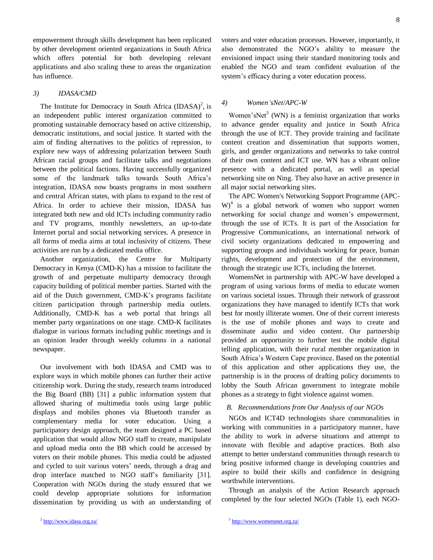empowerment through skills development has been replicated by other development oriented organizations in South Africa which offers potential for both developing relevant applications and also scaling these to areas the organization has influence.

# *3) IDASA/CMD*

The Institute for Democracy in South Africa  $(IDASA)^2$ , is an independent public interest organization committed to promoting sustainable democracy based on active citizenship, democratic institutions, and social justice. It started with the aim of finding alternatives to the politics of repression, to explore new ways of addressing polarization between South African racial groups and facilitate talks and negotiations between the political factions. Having successfully organized some of the landmark talks towards South Africa's integration, IDASA now boasts programs in most southern and central African states, with plans to expand to the rest of Africa. In order to achieve their mission, IDASA has integrated both new and old ICTs including community radio and TV programs, monthly newsletters, an up-to-date Internet portal and social networking services. A presence in all forms of media aims at total inclusivity of citizens. These activities are run by a dedicated media office.

Another organization, the Centre for Multiparty Democracy in Kenya (CMD-K) has a mission to facilitate the growth of and perpetuate multiparty democracy through capacity building of political member parties. Started with the aid of the Dutch government, CMD-K's programs facilitate citizen participation through partnership media outlets. Additionally, CMD-K has a web portal that brings all member party organizations on one stage. CMD-K facilitates dialogue in various formats including public meetings and is an opinion leader through weekly columns in a national newspaper.

Our involvement with both IDASA and CMD was to explore ways in which mobile phones can further their active citizenship work. During the study, research teams introduced the Big Board (BB) [31] a public information system that allowed sharing of multimedia tools using large public displays and mobiles phones via Bluetooth transfer as complementary media for voter education. Using a participatory design approach, the team designed a PC based application that would allow NGO staff to create, manipulate and upload media onto the BB which could be accessed by voters on their mobile phones. This media could be adjusted and cycled to suit various voters' needs, through a drag and drop interface matched to NGO staff's familiarity [31]. Cooperation with NGOs during the study ensured that we could develop appropriate solutions for information dissemination by providing us with an understanding of voters and voter education processes. However, importantly, it also demonstrated the NGO's ability to measure the envisioned impact using their standard monitoring tools and enabled the NGO and team confident evaluation of the system's efficacy during a voter education process.

## *4) Women'sNet/APC-W*

Women'sNet<sup>3</sup> (WN) is a feminist organization that works to advance gender equality and justice in South Africa through the use of ICT. They provide training and facilitate content creation and dissemination that supports women, girls, and gender organizations and networks to take control of their own content and ICT use. WN has a vibrant online presence with a dedicated portal, as well as special networking site on Ning. They also have an active presence in all major social networking sites.

The APC Women's Networking Support Programme (APC- $W)^4$  is a global network of women who support women networking for social change and women's empowerment, through the use of ICTs. It is part of the [Association for](http://www.apc.org/)  [Progressive Communications,](http://www.apc.org/) an international network of civil society organizations dedicated to empowering and supporting groups and individuals working for peace, human rights, development and protection of the environment, through the strategic use ICTs, including the Internet.

WomensNet in partnership with APC-W have developed a program of using various forms of media to educate women on various societal issues. Through their network of grassroot organizations they have managed to identify ICTs that work best for mostly illiterate women. One of their current interests is the use of mobile phones and ways to create and disseminate audio and video content. Our partnership provided an opportunity to further test the mobile digital telling application, with their rural member organization in South Africa's Western Cape province. Based on the potential of this application and other applications they use, the partnership is in the process of drafting policy documents to lobby the South African government to integrate mobile phones as a strategy to fight violence against women.

# *B. Recommendations from Our Analysis of our NGOs*

NGOs and ICT4D technologists share commonalities in working with communities in a participatory manner, have the ability to work in adverse situations and attempt to innovate with flexible and adaptive practices. Both also attempt to better understand communities through research to bring positive informed change in developing countries and aspire to build their skills and confidence in designing worthwhile interventions.

Through an analysis of the Action Research approach completed by the four selected NGOs (Table 1), each NGO-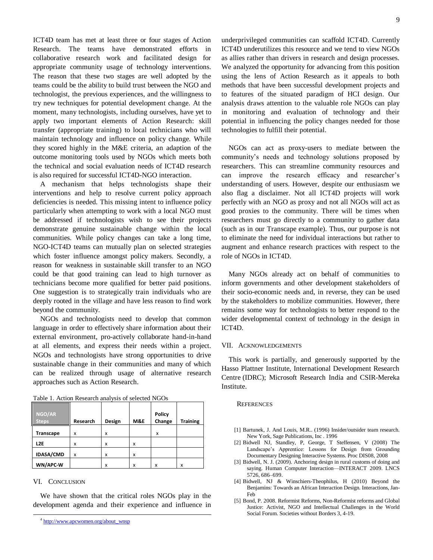ICT4D team has met at least three or four stages of Action Research. The teams have demonstrated efforts in collaborative research work and facilitated design for appropriate community usage of technology interventions. The reason that these two stages are well adopted by the teams could be the ability to build trust between the NGO and technologist, the previous experiences, and the willingness to try new techniques for potential development change. At the moment, many technologists, including ourselves, have yet to apply two important elements of Action Research: skill transfer (appropriate training) to local technicians who will maintain technology and influence on policy change. While they scored highly in the M&E criteria, an adaption of the outcome monitoring tools used by NGOs which meets both the technical and social evaluation needs of ICT4D research is also required for successful ICT4D-NGO interaction.

A mechanism that helps technologists shape their interventions and help to resolve current policy approach deficiencies is needed. This missing intent to influence policy particularly when attempting to work with a local NGO must be addressed if technologists wish to see their projects demonstrate genuine sustainable change within the local communities. While policy changes can take a long time, NGO-ICT4D teams can mutually plan on selected strategies which foster influence amongst policy makers. Secondly, a reason for weakness in sustainable skill transfer to an NGO could be that good training can lead to high turnover as technicians become more qualified for better paid positions. One suggestion is to strategically train individuals who are deeply rooted in the village and have less reason to find work beyond the community.

NGOs and technologists need to develop that common language in order to effectively share information about their external environment, pro-actively collaborate hand-in-hand at all elements, and express their needs within a project. NGOs and technologists have strong opportunities to drive sustainable change in their communities and many of which can be realized through usage of alternative research approaches such as Action Research.

| ║<br>NGO/AR<br><b>Steps</b> | Research | Design | M&E | Policy<br>Change | <b>Training</b> |
|-----------------------------|----------|--------|-----|------------------|-----------------|
| Transcape                   | x        | x      |     | x                |                 |
| L <sub>2E</sub>             | x        | x      | X   |                  |                 |
| <b>IDASA/CMD</b>            | x        | x      | x   |                  |                 |
| WN/APC-W                    |          | x      | x   | X                | x               |

#### Table 1. Action Research analysis of selected NGOs

#### VI. CONCLUSION

l

We have shown that the critical roles NGOs play in the development agenda and their experience and influence in underprivileged communities can scaffold ICT4D. Currently ICT4D underutilizes this resource and we tend to view NGOs as allies rather than drivers in research and design processes. We analyzed the opportunity for advancing from this position using the lens of Action Research as it appeals to both methods that have been successful development projects and to features of the situated paradigm of HCI design. Our analysis draws attention to the valuable role NGOs can play in monitoring and evaluation of technology and their potential in influencing the policy changes needed for those technologies to fulfill their potential.

NGOs can act as proxy-users to mediate between the community's needs and technology solutions proposed by researchers. This can streamline community resources and can improve the research efficacy and researcher's understanding of users. However, despite our enthusiasm we also flag a disclaimer. Not all ICT4D projects will work perfectly with an NGO as proxy and not all NGOs will act as good proxies to the community. There will be times when researchers must go directly to a community to gather data (such as in our Transcape example). Thus, our purpose is not to eliminate the need for individual interactions but rather to augment and enhance research practices with respect to the role of NGOs in ICT4D.

Many NGOs already act on behalf of communities to inform governments and other development stakeholders of their socio-economic needs and, in reverse, they can be used by the stakeholders to mobilize communities. However, there remains some way for technologists to better respond to the wider developmental context of technology in the design in ICT4D.

#### VII. ACKNOWLEDGEMENTS

This work is partially, and generously supported by the Hasso Plattner Institute, International Development Research Centre (IDRC); Microsoft Research India and CSIR-Mereka Institute.

#### **REFERENCES**

- [1] Bartunek, J. And Louis, M.R.. (1996) Insider/outsider team research. New York, Sage Publications, Inc . 1996
- [2] Bidwell NJ, Standley, P, George, T Steffensen, V (2008) The Landscape's Apprentice: Lessons for Design from Grounding Documentary Designing Interactive Systems. Proc DIS08, 2008
- [3] Bidwell, N. J. (2009). Anchoring design in rural customs of doing and saying. Human Computer Interaction—INTERACT 2009. LNCS 5726, 686–699.
- [4] Bidwell, NJ & Winschiers-Theophilus, H (2010) Beyond the Benjamins: Towards an African Interaction Design. Interactions, Jan-Feb
- [5] Bond, P. 2008. Reformist Reforms, Non-Reformist reforms and Global Justice: Activist, NGO and Intellectual Challenges in the World Social Forum. Societies without Borders 3, 4-19.

<sup>&</sup>lt;sup>4</sup> [http://www.apcwomen.org/about\\_wnsp](http://www.apcwomen.org/about_wnsp)